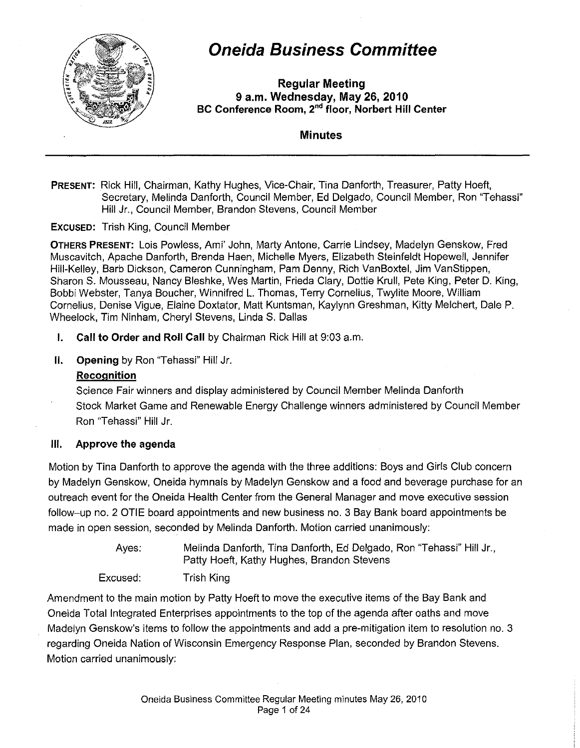

# **Oneida Business Committee**

**Regular Meeting 9 a.m. Wednesday, May 26, 2010 BC Conference Room, 2"" floor, Norbert Hill Center** 

**Minutes** 

### **PRESENT:** Rick Hill, Chairman, Kathy Hughes, Vice-Chair, Tina Danforth, Treasurer, Patty Hoeft, Secretary, Melinda Danforth, Council Member, Ed Delgado, Council Member, Ron "Tehassi" Hill Jr., Council Member, Brandon Stevens, Council Member

**EXCUSED:** Trish King, Council Member

**OTHERS PRESENT:** Lois Powless, Ami' John, Marty Antone, Carrie Lindsey, Madelyn Genskow, Fred Muscavitch, Apache Danforth, Brenda Haen, Michelle Myers, Elizabeth Steinfeldt Hopewell, Jennifer Hill-Kelley, Barb Dickson, Cameron Cunningham, Pam Denny, Rich VanBoxtel, Jim VanStippen, Sharon S. Mousseau, Nancy Bleshke, Wes Martin, Frieda Clary, Dottie Krull, Pete King, Peter D. King, Bobbi Webster, Tanya Boucher, Winnifred L. Thomas, Terry Cornelius, Twylite Moore, William Cornelius, Denise Vigue, Elaine Doxtator, Matt Kuntsman, Kaylynn Greshman, Kitty Melchert, Dale P. Wheelock, Tim Ninham, Cheryl Stevens, Linda S. Dallas

**I. Call to Order and Roll Call** by Chairman Rick Hill at 9:03 a.m.

**II. Opening** by Ron "Tehassi" Hill Jr.

### **Recognition**

Science Fair winners and display administered by Council Member Melinda Danforth Stock Market Game and Renewable Energy Challenge winners administered by Council Member Ron "Tehassi" Hill Jr.

### **Ill. Approve the agenda**

Motion by Tina Danforth to approve the agenda with the three additions: Boys and Girls Club concern by Madelyn Genskow, Oneida hymnals by Madelyn Genskow and a food and beverage purchase for an outreach event for the Oneida Health Center from the General Manager and move executive session follow-up no. 2 OTIE board appointments and new business no. 3 Bay Bank board appointments be made in open session, seconded by Melinda Danforth. Motion carried unanimously:

> Ayes: Melinda Danforth, Tina Danforth, Ed Delgado, Ron "Tehassi" Hill Jr., Patty Hoeft, Kathy Hughes, Brandon Stevens

Excused: Trish King

Amendment to the main motion by Patty Hoeft to move the executive items of the Bay Bank and Oneida Total Integrated Enterprises appointments to the top of the agenda after oaths and move Madelyn Genskow's items to follow the appointments and add a pre-mitigation item to resolution no. 3 regarding Oneida Nation of Wisconsin Emergency Response Plan, seconded by Brandon Stevens. Motion carried unanimously: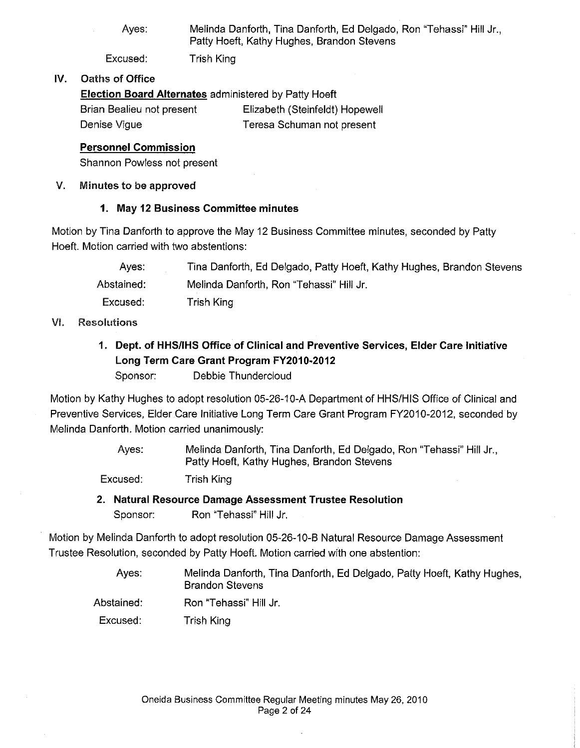Ayes: Melinda Danforth, Tina Danforth, Ed Delgado, Ron "Tehassi" Hill Jr., Patty Hoeft, Kathy Hughes, Brandon Stevens

Excused: Trish King

### IV. Oaths of Office

**Election Board Alternates** administered by Patty Hoeft

| Brian Bealieu not present | Elizabeth (Steinfeldt) Hopewell |
|---------------------------|---------------------------------|
| Denise Vigue              | Teresa Schuman not present      |

### **Personnel Commission**

Shannon Powless not present

### V. Minutes to be approved

### **1. May 12 Business Committee minutes**

Motion by Tina Danforth to approve the May 12 Business Committee minutes, seconded by Patty Hoeft. Motion carried with two abstentions:

| Aves:      | Tina Danforth, Ed Delgado, Patty Hoeft, Kathy Hughes, Brandon Stevens |
|------------|-----------------------------------------------------------------------|
| Abstained: | Melinda Danforth, Ron "Tehassi" Hill Jr.                              |
| Excused:   | Trish King                                                            |

### VI. Resolutions

**1. Dept. of HHS!IHS Office of Clinical and Preventive Services, Elder Care Initiative Long Term Care Grant Program FY2010-2012** 

Sponsor: Debbie Thundercloud

Motion by Kathy Hughes to adopt resolution 05-26-10-A Department of HHS/HIS Office of Clinical and Preventive Services, Elder Care Initiative Long Term Care Grant Program FY2010-2012, seconded by Melinda Danforth. Motion carried unanimously:

> Ayes: Melinda Danforth, Tina Danforth, Ed Delgado, Ron "Tehassi" Hill Jr., Patty Hoeft, Kathy Hughes, Brandon Stevens

Excused: Trish King

### **2. Natural Resource Damage Assessment Trustee Resolution**

Sponsor: Ron "Tehassi" Hill Jr.

Motion by Melinda Danforth to adopt resolution 05-26-10-B Natural Resource Damage Assessment Trustee Resolution, seconded by Patty Hoeft. Motion carried with one abstention:

> Ayes: Melinda Danforth, Tina Danforth, Ed Delgado, Patty Hoeft, Kathy Hughes, Brandon Stevens

Abstained: Ron "Tehassi" Hill Jr.

Excused: Trish King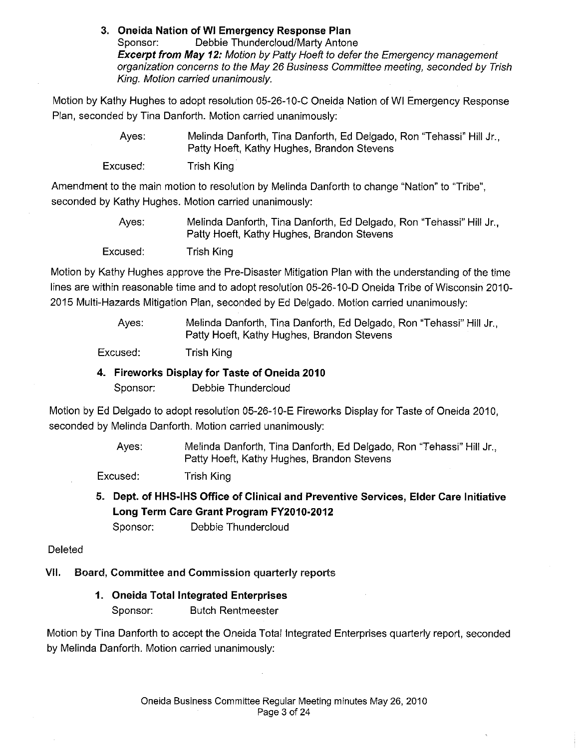#### **3. Oneida Nation of WI Emergency Response Plan**

Sponsor: Debbie Thundercloud/Marty Antone **Excerpt from May 12:** Motion by Patty Hoeft to defer the Emergency management organization concerns to the May 26 Business Committee meeting, seconded by Trish King. Motion carried unanimously.

Motion by Kathy Hughes to adopt resolution 05-26-10-C Oneida Nation of WI Emergency Response Plan, seconded by Tina Danforth. Motion carried unanimously:

> Ayes: Melinda Danforth, Tina Danforth, Ed Delgado, Ron "Tehassi" Hill Jr., Patty Hoeft, Kathy Hughes, Brandon Stevens

Excused: Trish King

Amendment to the main motion to resolution by Melinda Danforth to change "Nation" to 'Tribe", seconded by Kathy Hughes. Motion carried unanimously:

> Ayes: Excused: Melinda Danforth, Tina Danforth, Ed Delgado, Ron "Tehassi" Hill Jr., Patty Hoeft, Kathy Hughes, Brandon Stevens Trish King

Motion by Kathy Hughes approve the Pre-Disaster Mitigation Plan with the understanding of the time lines are within reasonable time and to adopt resolution 05-26-10-D Oneida Tribe of Wisconsin 2010- 2015 Multi-Hazards Mitigation Plan, seconded by Ed Delgado. Motion carried unanimously:

> Ayes: Melinda Danforth, Tina Danforth, Ed Delgado, Ron "Tehassi" Hill Jr., Patty Hoeft, Kathy Hughes, Brandon Stevens

Excused: Trish King

### **4. Fireworks Display for Taste of Oneida 2010**

Sponsor: Debbie Thundercloud

Motion by Ed Delgado to adopt resolution 05-26-10-E Fireworks Display for Taste of Oneida 2010, seconded by Melinda Danforth. Motion carried unanimously:

> Ayes: Melinda Danforth, Tina Danforth, Ed Delgado, Ron "Tehassi" Hill Jr., Patty Hoeft, Kathy Hughes, Brandon Stevens

Excused: Trish King

**5. Dept. of HHS-IHS Office of Clinical and Preventive Services, Elder Care Initiative Long Term Care Grant Program FY2010-2012** 

Sponsor: Debbie Thundercloud

### **Deleted**

VII. Board, Committee and Commission quarterly reports

**1. Oneida Total Integrated Enterprises** 

Sponsor: Butch Rentmeester

Motion by Tina Danforth to accept the Oneida Total integrated Enterprises quarterly report, seconded by Melinda Danforth. Motion carried unanimously: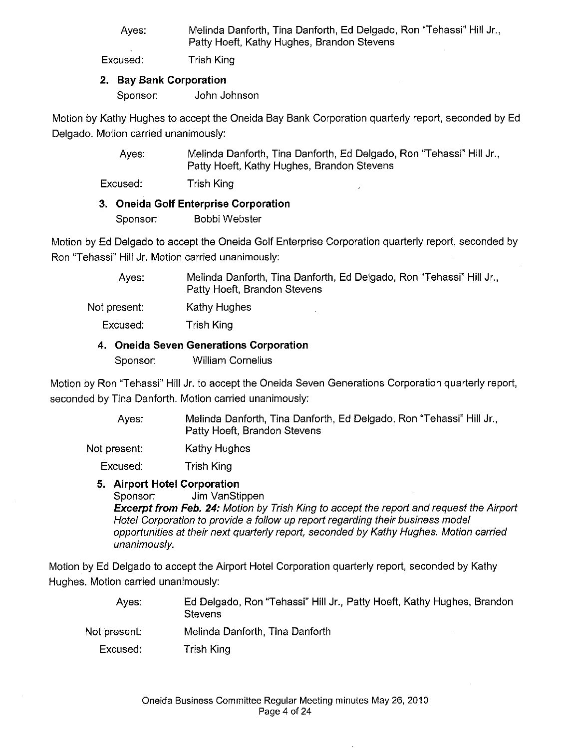Ayes: Melinda Danforth, Tina Danforth, Ed Delgado, Ron "Tehassi" Hill Jr., Patty Hoeft, Kathy Hughes, Brandon Stevens

Excused: Trish King

### **2. Bay Bank Corporation**

Sponsor: John Johnson

Motion by Kathy Hughes to accept the Oneida Bay Bank Corporation quarterly report, seconded by Ed Delgado. Motion carried unanimously:

> Ayes: Melinda Danforth, Tina Danforth, Ed Delgado, Ron "Tehassi" Hill Jr., Patty Hoeft, Kathy Hughes, Brandon Stevens

Excused: Trish King

### **3. Oneida Golf Enterprise Corporation**

Sponsor: Bobbi Webster

Motion by Ed Delgado to accept the Oneida Golf Enterprise Corporation quarterly report, seconded by Ron "Tehassi" Hill Jr. Motion carried unanimously:

> Ayes: Melinda Danforth, Tina Danforth, Ed Delgado, Ron "Tehassi" Hill Jr., Patty Hoeft, Brandon Stevens

Not present: Kathy Hughes

Excused: Trish King

#### **4. Oneida Seven Generations Corporation**

Sponsor: William Cornelius

Motion by Ron "Tehassi" Hill Jr. to accept the Oneida Seven Generations Corporation quarterly report, seconded by Tina Danforth. Motion carried unanimously:

> Ayes: Melinda Danforth, Tina Danforth, Ed Delgado, Ron "Tehassi" Hill Jr., Patty Hoeft, Brandon Stevens

Not present: Kathy Hughes

Excused: Trish King

**5. Airport Hotel Corporation** 

Sponsor: Jim VanStippen

**Excerpt from Feb. 24:** Motion by Trish King to accept the report and request the Airport Hotel Corporation to provide a follow up report regarding their business model opportunities at their next quarterly report, seconded by Kathy Hughes. Motion carried unanimously.

Motion by Ed Delgado to accept the Airport Hotel Corporation quarterly report, seconded by Kathy Hughes. Motion carried unanimously:

Ayes: Not present: Excused: Ed Delgado, Ron "Tehassi" Hill Jr., Patty Hoeft, Kathy Hughes, Brandon Stevens Melinda Danforth, Tina Danforth Trish King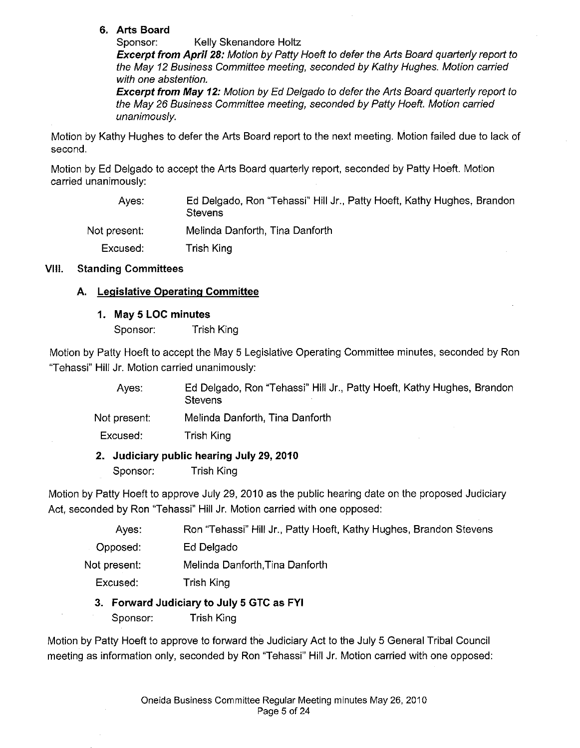### **6. Arts Board**

Sponsor: Kelly Skenandore Holtz

**Excerpt from April 28:** Motion by Patty Hoeft to defer the Arts Board quarterly report to the May 12 Business Committee meeting, seconded by Kathy Hughes. Motion carried with one abstention.

**Excerpt from May 12:** Motion by Ed Delgado to defer the Arts Board quarterly report to the May 26 Business Committee meeting, seconded by Patty Hoeft. Motion carried unanimously.

Motion by Kathy Hughes to defer the Arts Board report to the next meeting. Motion failed due to lack of second.

Motion by Ed Delgado to accept the Arts Board quarterly report, seconded by Patty Hoeft. Motion carried unanimously:

Ayes: Not present: Excused: Ed Delgado, Ron ''Tehassi" Hill Jr., Patty Hoeft, Kathy Hughes, Brandon **Stevens** Melinda Danforth, Tina Danforth Trish King

### VIII. Standing Committees

### **A. Legislative Operating Committee**

### **1. May 5 LOG minutes**

Sponsor: Trish King

Motion by Patty Hoeft to accept the May 5 Legislative Operating Committee minutes, seconded by Ron "Tehassi" Hill Jr. Motion carried unanimously:

Ayes: Not present: Excused: Ed Delgado, Ron "Tehassi" Hill Jr., Patty Hoeft, Kathy Hughes, Brandon **Stevens** Melinda Danforth, Tina Danforth Trish King

### **2. Judiciary public hearing July 29, 2010**

Sponsor: Trish King

Motion by Patty Hoeft to approve July 29, 2010 as the public hearing date on the proposed Judiciary Act, seconded by Ron "Tehassi" Hill Jr. Motion carried with one opposed:

> Ayes: Ron "Tehassi" Hill Jr., Patty Hoeft, Kathy Hughes, Brandon Stevens

Opposed: Ed Delgado

Not present: Melinda Danforth,Tina Danforth

Excused: Trish King

### 3. **Forward Judiciary to July 5 GTC as FYI**

Sponsor: Trish King

Motion by Patty Hoeft to approve to forward the Judiciary Act to the July 5 General Tribal Council meeting as information only, seconded by Ron "Tehassi" Hill Jr. Motion carried with one opposed: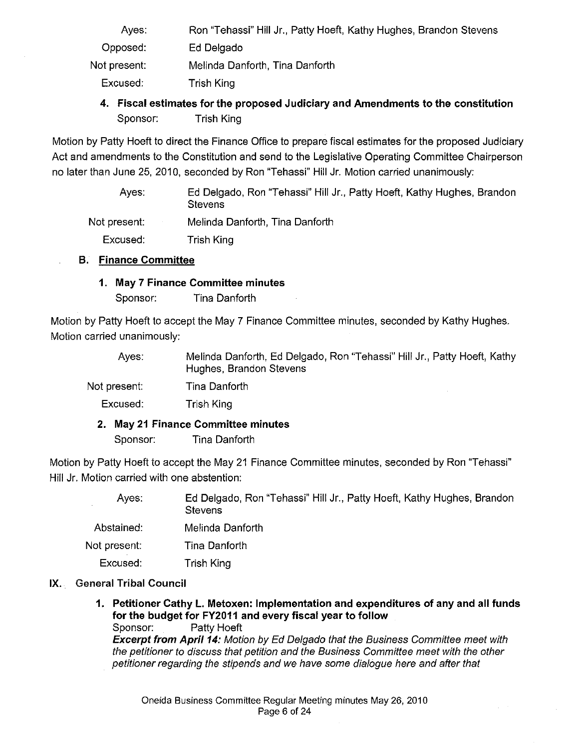- Ayes: Opposed: Not present: Excused: Ron "Tehassi" Hill Jr., Patty Hoeft, Kathy Hughes, Brandon Stevens Ed Delgado Melinda Danforth, Tina Danforth Trish King
	- **4. Fiscal estimates for the proposed Judiciary and Amendments to the constitution**  Sponsor: Trish King

Motion by Patty Hoeft to direct the Finance Office to prepare fiscal estimates for the proposed Judiciary Act and amendments to the Constitution and send to the Legislative Operating Committee Chairperson no later than June 25, 2010, seconded by Ron "Tehassi" Hill Jr. Motion carried unanimously:

| Aves:        | Ed Delgado, Ron "Tehassi" Hill Jr., Patty Hoeft, Kathy Hughes, Brandon<br><b>Stevens</b> |
|--------------|------------------------------------------------------------------------------------------|
| Not present: | Melinda Danforth, Tina Danforth                                                          |
| Excused:     | Trish King                                                                               |

### **B. Finance Committee**

#### **1. May 7 Finance Committee minutes**

Sponsor: Tina Danforth

Motion by Patty Hoeft to accept the May 7 Finance Committee minutes, seconded by Kathy Hughes. Motion carried unanimously:

| Aves:        | Melinda Danforth, Ed Delgado, Ron "Tehassi" Hill Jr., Patty Hoeft, Kathy<br>Hughes, Brandon Stevens |
|--------------|-----------------------------------------------------------------------------------------------------|
| Not present: | Tina Danforth                                                                                       |
| Excused:     | Trish King                                                                                          |

### **2. May 21 Finance Committee minutes**

Sponsor: Tina Danforth

Motion by Patty Hoeft to accept the May 21 Finance Committee minutes, seconded by Ron "Tehassi" Hill Jr. Motion carried with one abstention:

| Ayes:        | Ed Delgado, Ron "Tehassi" Hill Jr., Patty Hoeft, Kathy Hughes, Brandon<br><b>Stevens</b> |
|--------------|------------------------------------------------------------------------------------------|
| Abstained:   | Melinda Danforth                                                                         |
| Not present: | Tina Danforth                                                                            |
| Excused:     | Trish King                                                                               |

### **IX.** General **Tribal Council**

**1. Petitioner Cathy L. Metoxen: Implementation and expenditures of any and all funds for the budget for FY2011 and every fiscal year to follow** 

Sponsor: Patty Hoeft **Excerpt from April 14:** Motion by Ed Delgado that the Business Committee meet with the petitioner to discuss that petition and the Business Committee meet with the other petitioner regarding the stipends and we have some dialogue here and after that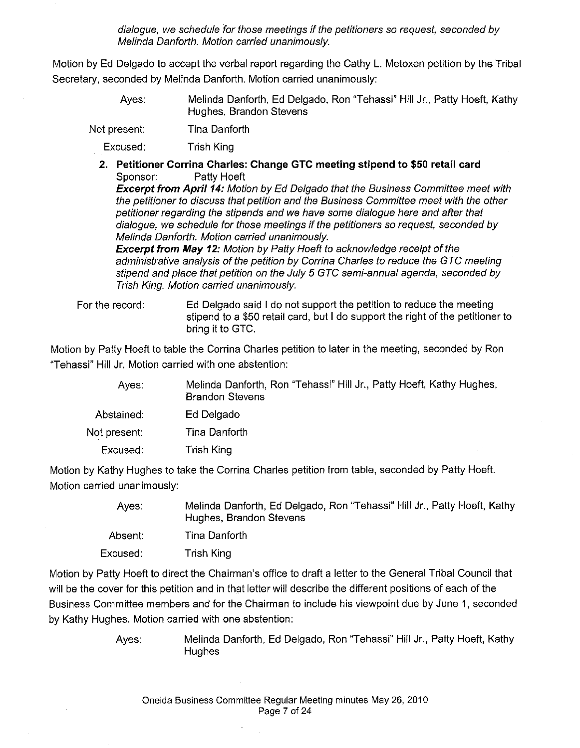dialogue, we schedule for those meetings if the petitioners so request, seconded by Melinda Danforth. Motion carried unanimously.

Motion by Ed Delgado to accept the verbal report regarding the Cathy L. Metoxen petition by the Tribal Secretary, seconded by Melinda Danforth. Motion carried unanimously:

> Ayes: Melinda Danforth, Ed Delgado, Ron "Tehassi" Hill Jr., Patty Hoeft, Kathy Hughes, Brandon Stevens

Not present: Tina Danforth

Excused: Trish King

**2. Petitioner Corrina Charles: Change GTC meeting stipend to \$50 retail card**  Sponsor: Patty Hoeft

**Excerpt from April 14:** Motion by Ed Delgado that the Business Committee meet with the petitioner to discuss that petition and the Business Committee meet with the other petitioner regarding the stipends and we have some dialogue here and after that dialogue, we schedule for those meetings if the petitioners so request, seconded by Melinda Danforth. Motion carried unanimously.

**Excerpt from May 12:** Motion by Patty Hoeft to acknowledge receipt of the administrative analysis of the petition by Corrina Charles to reduce the GTC meeting stipend and place that petition on the July 5 GTC semi-annual agenda, seconded by Trish King. Motion carried unanimously.

For the record: Ed Delgado said I do not support the petition to reduce the meeting stipend to a \$50 retail card, but I do support the right of the petitioner to bring it to GTC.

Motion by Patty Hoeft to table the Corrina Charles petition to later in the meeting, seconded by Ron "Tehassi" Hill Jr. Motion carried with one abstention:

| Ayes:        | Melinda Danforth, Ron "Tehassi" Hill Jr., Patty Hoeft, Kathy Hughes,<br><b>Brandon Stevens</b> |
|--------------|------------------------------------------------------------------------------------------------|
| Abstained:   | Ed Delgado                                                                                     |
| Not present: | Tina Danforth                                                                                  |
| Excused:     | Trish King                                                                                     |

Motion by Kathy Hughes to take the Corrina Charles petition from table, seconded by Patty Hoeft. Motion carried unanimously:

> Ayes: Melinda Danforth, Ed Delgado, Ron "Tehassi" Hill Jr., Patty Hoeft, Kathy Hughes, Brandon Stevens Absent: Tina Danforth

Excused: Trish King

Motion by Patty Hoeft to direct the Chairman's office to draft a letter to the General Tribal Council that will be the cover for this petition and in that letter will describe the different positions of each of the Business Committee members and for the Chairman to include his viewpoint due by June 1, seconded by Kathy Hughes. Motion carried with one abstention:

> Ayes: Melinda Danforth, Ed Delgado, Ron "Tehassi" Hill Jr., Patty Hoeft, Kathy **Hughes**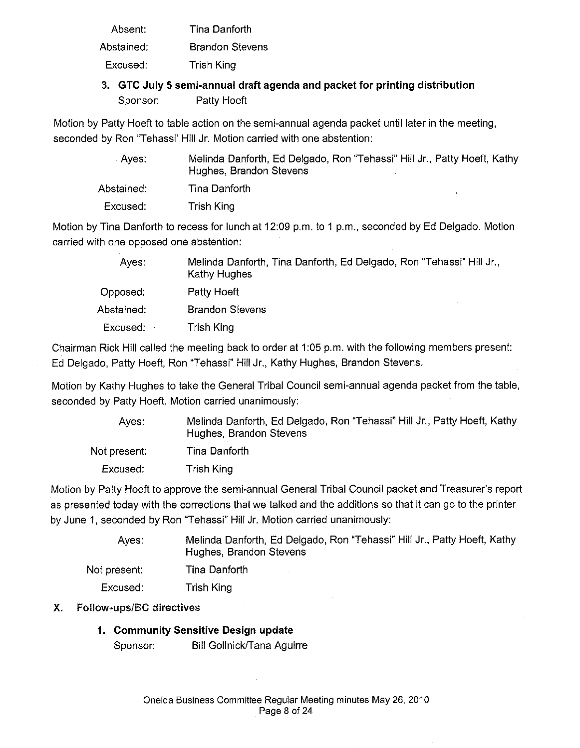Absent: Abstained: Tina Danforth Brandon Stevens

Excused: Trish King

### **3. GTC July 5 semi-annual draft agenda and packet for printing distribution**  Sponsor: Patty Hoeft

Motion by Patty Hoeft to table action on the semi-annual agenda packet until later in the meeting, seconded by Ron "Tehassi' Hill Jr. Motion carried with one abstention:

| Aves: .    | Melinda Danforth, Ed Delgado, Ron "Tehassi" Hill Jr., Patty Hoeft, Kathy<br>Hughes, Brandon Stevens |
|------------|-----------------------------------------------------------------------------------------------------|
| Abstained: | Tina Danforth                                                                                       |
| Excused:   | Trish King                                                                                          |

Motion by Tina Danforth to recess for lunch at 12:09 p.m. to 1 p.m., seconded by Ed Delgado. Motion carried with one opposed one abstention:

| Ayes:      | Melinda Danforth, Tina Danforth, Ed Delgado, Ron "Tehassi" Hill Jr.,<br>Kathy Hughes |
|------------|--------------------------------------------------------------------------------------|
| Opposed:   | <b>Patty Hoeft</b>                                                                   |
| Abstained: | <b>Brandon Stevens</b>                                                               |
| Excused:   | Trish King                                                                           |

Chairman Rick Hill called the meeting back to order at 1:05 p.m. with the following members present: Ed Delgado, Patty Hoeft, Ron "Tehassi" Hill Jr., Kathy Hughes, Brandon Stevens.

Motion by Kathy Hughes to take the General Tribal Council semi-annual agenda packet from the table, seconded by Patty Hoeft. Motion carried unanimously:

| Aves:        | Melinda Danforth, Ed Delgado, Ron "Tehassi" Hill Jr., Patty Hoeft, Kathy<br>Hughes, Brandon Stevens |  |
|--------------|-----------------------------------------------------------------------------------------------------|--|
| Not present: | Tina Danforth                                                                                       |  |
| Excused:     | Trish King                                                                                          |  |

Motion by Patty Hoeft to approve the semi-annual General Tribal Council packet and Treasurer's report as presented today with the corrections that we talked and the additions so that it can go to the printer by June 1, seconded by Ron "Tehassi" Hill Jr. Motion carried unanimously:

| Aves:        | Melinda Danforth, Ed Delgado, Ron "Tehassi" Hill Jr., Patty Hoeft, Kathy<br>Hughes, Brandon Stevens |
|--------------|-----------------------------------------------------------------------------------------------------|
| Not present: | Tina Danforth                                                                                       |
| Excused:     | Trish King                                                                                          |

### X. Follow-ups/BC directives

# **1. Community Sensitive Design update**

Sponsor: Bill Gollnick/Tana Aguirre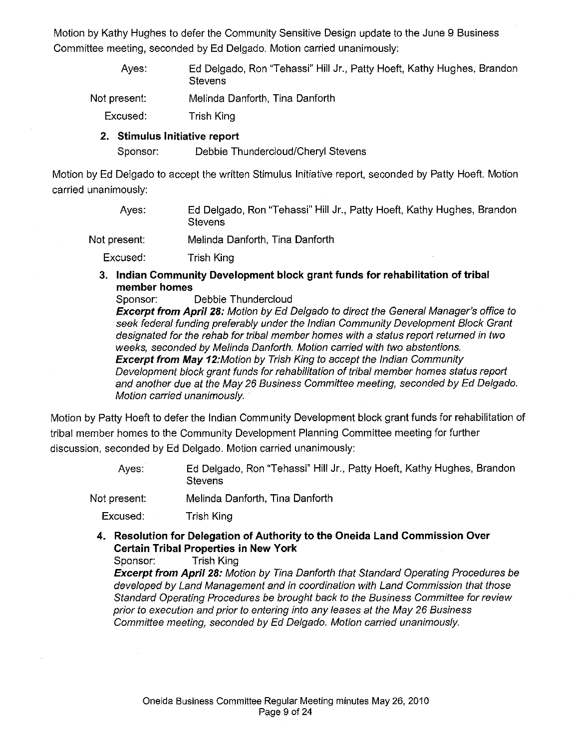Motion by Kathy Hughes to defer the Community Sensitive Design update to the June 9 Business Committee meeting, seconded by Ed Delgado. Motion carried unanimously:

- Ayes: Ed Delgado, Ron "Tehassi" Hill Jr., Patty Hoeft, Kathy Hughes, Brandon **Stevens**
- Not present: Melinda Danforth, Tina Danforth
	- Excused: Trish King

### **2. Stimulus Initiative report**

Sponsor: Debbie Thundercloud/Cheryl Stevens

Motion by Ed Delgado to accept the written Stimulus Initiative report, seconded by Patty Hoeft. Motion carried unanimously:

- Ayes: Ed Delgado, Ron "Tehassi" Hill Jr., Patty Hoeft, Kathy Hughes, Brandon **Stevens**
- Not present: Melinda Danforth, Tina Danforth

Excused: Trish King

**3. Indian Community Development block grant funds for rehabilitation of tribal member homes** 

Sponsor: Debbie Thundercloud **Excerpt from April 28:** Motion by Ed Delgado to direct the General Manager's office to seek federal funding preferably under the Indian Community Development Block Grant designated for the rehab for tribal member homes with a status report returned in two weeks, seconded by Melinda Danforth. Motion carried with two abstentions. **Excerpt from May** 12:Motion by Trish King to accept the Indian Community Development block grant funds for rehabilitation of tribal member homes status report and another due at the May 26 Business Committee meeting, seconded by Ed Delgado. Motion carried unanimously.

Motion by Patty Hoeft to defer the Indian Community Development block grant funds for rehabilitation of tribal member homes to the Community Development Planning Committee meeting for further discussion, seconded by Ed Delgado. Motion carried unanimously:

- Ayes: Ed Delgado, Ron "Tehassi" Hill Jr., Patty Hoeft, Kathy Hughes, Brandon **Stevens**
- Not present: Melinda Danforth, Tina Danforth
	- Excused: Trish King
	- **4. Resolution for Delegation of Authority to the Oneida Land Commission Over Certain Tribal Properties in New York**

Sponsor: Trish King

**Excerpt from April 28:** Motion by Tina Danforth that Standard Operating Procedures be developed by Land Management and in coordination with Land Commission that those Standard Operating Procedures be brought back to the Business Committee for review prior to execution and prior to entering into any leases at the May 26 Business Committee meeting, seconded by Ed Delgado. Motion carried unanimously.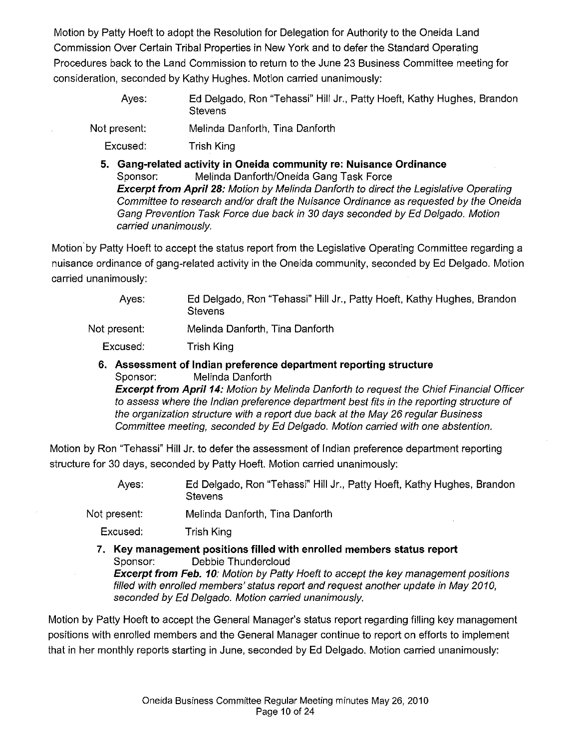Motion by Patty Hoeft to adopt the Resolution for Delegation for Authority to the Oneida Land Commission Over Certain Tribal Properties in New York and to defer the Standard Operating Procedures back to the Land Commission to return to the June 23 Business Committee meeting for consideration, seconded by Kathy Hughes. Motion carried unanimously:

> Ayes: Ed Delgado, Ron "Tehassi" Hill Jr., Patty Hoeft, Kathy Hughes, Brandon **Stevens**

Not present: Melinda Danforth, Tina Danforth

Excused: Trish King

**5. Gang-related activity in Oneida community re: Nuisance Ordinance**  Sponsor: Melinda Danforth/Oneida Gang Task Force **Excerpt from April 28:** Motion by Melinda Danforth to direct the Legislative Operating Committee to research and/or draft the Nuisance Ordinance as requested by the Oneida Gang Prevention Task Force due back in 30 days seconded by Ed Delgado. Motion carried unanimously.

Motion' by Patty Hoeft to accept the status report from the Legislative Operating Committee regarding a nuisance ordinance of gang-related activity in the Oneida community, seconded by Ed Delgado. Motion carried unanimously:

> Ayes: Ed Delgado, Ron "Tehassi" Hill Jr., Patty Hoeft, Kathy Hughes, Brandon **Stevens**

Not present: Melinda Danforth, Tina Danforth

Excused: Trish King

**6. Assessment of Indian preference department reporting structure**  Sponsor: Melinda Danforth

**Excerpt from Apri/14:** Motion by Melinda Danforth to request the Chief Financial Officer to assess where the Indian preference department best fits in the reporting structure of the organization structure with a report due back at the May 26 regular Business Committee meeting, seconded by Ed Delgado. Motion carried with one abstention.

Motion by Ron "Tehassi" Hill Jr. to defer the assessment of Indian preference department reporting structure for 30 days, seconded by Patty Hoeft. Motion carried unanimously:

> Ayes: Ed Delgado, Ron "Tehassi" Hill Jr., Patty Hoeft, Kathy Hughes, Brandon **Stevens**

Not present: Melinda Danforth, Tina Danforth

Excused: Trish King

**7. Key management positions filled with enrolled members status report**  Sponsor: Debbie Thundercloud **Excerpt from Feb. 10:** Motion by Patty Hoeft to accept the key management positions filled with enrolled members' status report and request another update in May 2010,

seconded by Ed Delgado. Motion carried unanimously.

Motion by Patty Hoeft to accept the General Manager's status report regarding filling key management positions with enrolled members and the General Manager continue to report on efforts to implement that in her monthly reports starting in June, seconded by Ed Delgado. Motion carried unanimously: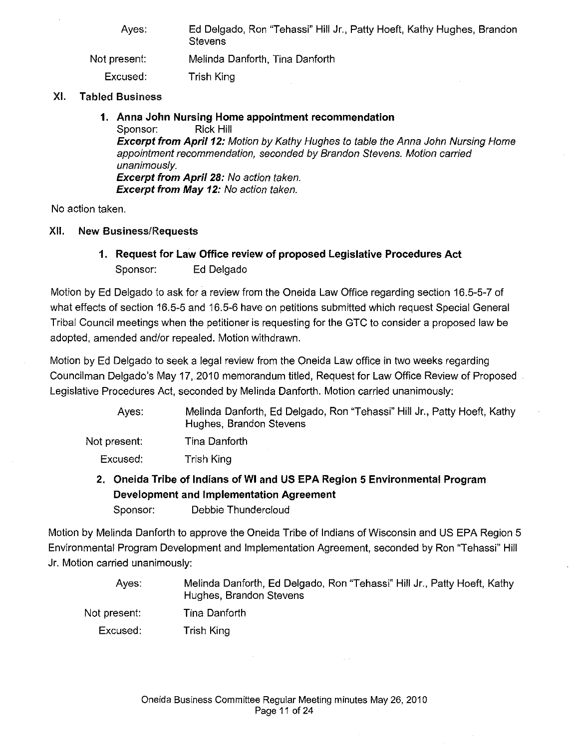| Ed Delgado, Ron "Tehassi" Hill Jr., Patty Hoeft, Kathy Hughes, Brandon<br><b>Stevens</b> |
|------------------------------------------------------------------------------------------|
| Melinda Danforth, Tina Danforth                                                          |
| Trish King                                                                               |
|                                                                                          |

### XI. Tabled Business

# **1. Anna John Nursing Home appointment recommendation**

Sponsor: **Excerpt from Apri/12:** Motion by Kathy Hughes to table the Anna John Nursing Home appointment recommendation, seconded by Brandon Stevens. Motion carried unanimously. **Excerpt from April 28:** No action taken. **Excerpt from May 12:** No action taken.

No action taken.

Not

### XII. New Business/Requests

### **1. Request for Law Office review of proposed Legislative Procedures Act**  Sponsor: Ed Delgado

Motion by Ed Delgado to ask for a review from the Oneida Law Office regarding section 16.5-5-7 of what effects of section 16.5-5 and 16.5-6 have on petitions submitted which request Special General Tribal Council meetings when the petitioner is requesting for the GTC to consider a proposed law be adopted, amended and/or repealed. Motion withdrawn.

Motion by Ed Delgado to seek a legal review from the Oneida Law office in two weeks regarding Councilman Delgado's May 17,.2010 memorandum titled, Request for Law Office Review of Proposed Legislative Procedures Act, seconded by Melinda Danforth. Motion carried unanimously:

| Aves:        | Melinda Danforth, Ed Delgado, Ron "Tehassi" Hill Jr., Patty Hoeft, Kathy<br>Hughes, Brandon Stevens |
|--------------|-----------------------------------------------------------------------------------------------------|
| t present: \ | Tina Danforth                                                                                       |
| Excused:     | Trish King                                                                                          |
|              |                                                                                                     |

**2. Oneida Tribe of Indians of WI and US EPA Region 5 Environmental Program Development and Implementation Agreement** 

Sponsor: Debbie Thundercloud

Motion by Melinda Danforth to approve the Oneida Tribe of Indians of Wisconsin and US EPA Region 5 Environmental Program Development and Implementation Agreement, seconded by Ron "Tehassi" Hill Jr. Motion carried unanimously:

Ayes: Not present: Melinda Danforth, Ed Delgado, Ron "Tehassi" Hill Jr., Patty Hoeft, Kathy Hughes, Brandon Stevens Tina Danforth

Excused: Trish King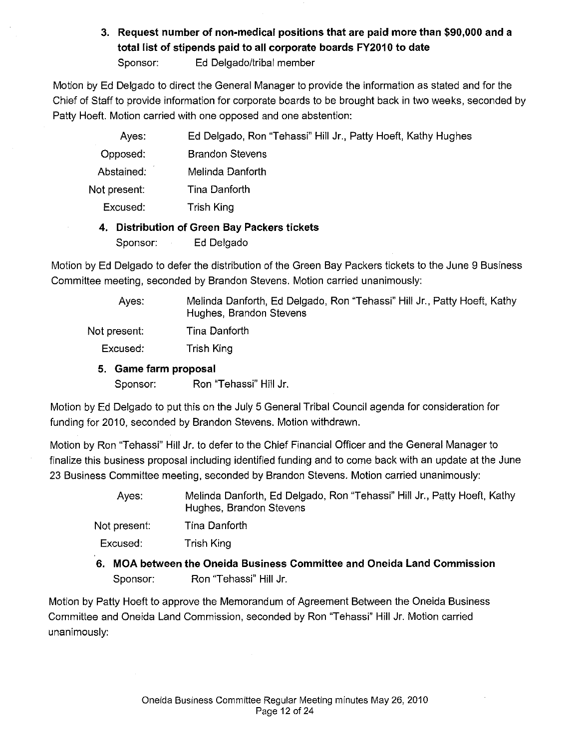### **3. Request number of non-medical positions that are paid more than \$90,000 and a**  total list of stipends paid to all corporate boards FY2010 to date Sponsor: Ed Delgado/tribal member

Motion by Ed Delgado to direct the General Manager to provide the information as stated and for the Chief of Staff to provide information for corporate boards to be brought back in two weeks, seconded by Patty Hoeft. Motion carried with one opposed and one abstention:

| Ayes:        | Ed Delgado, Ron "Tehassi" Hill Jr., Patty Hoeft, Kathy Hughes |
|--------------|---------------------------------------------------------------|
| Opposed:     | <b>Brandon Stevens</b>                                        |
| Abstained:   | Melinda Danforth                                              |
| Not present: | Tina Danforth                                                 |
| Excused:     | Trish King                                                    |
|              |                                                               |

### **4. Distribution of Green Bay Packers tickets**

Sponsor: Ed Delgado

Motion by Ed Delgado to defer the distribution of the Green Bay Packers tickets to the June 9 Business Committee meeting, seconded by Brandon Stevens. Motion carried unanimously:

Ayes: Not present: Melinda Danforth, Ed Delgado, Ron "Tehassi" Hill Jr., Patty Hoeft, Kathy Hughes, Brandon Stevens Tina Danforth

Excused: Trish King

### **5. Game farm proposal**

Sponsor: Ron "Tehassi" Hill Jr.

Motion by Ed Delgado to put this on the July 5 General Tribal Council agenda for consideration for funding for 2010, seconded by Brandon Stevens. Motion withdrawn.

Motion by Ron "Tehassi" Hill Jr. to defer to the Chief Financial Officer and the General Manager to finalize this business proposal including identified funding and to come back with an update at the June 23 Business Committee meeting, seconded by Brandon Stevens. Motion carried unanimously:

| Ayes: | Melinda Danforth, Ed Delgado, Ron "Tehassi" Hill Jr., Patty Hoeft, Kathy |
|-------|--------------------------------------------------------------------------|
|       | Hughes, Brandon Stevens                                                  |

Not present: Tina Danforth

Excused: Trish King

**6. MOA between the Oneida Business Committee and Oneida Land Commission**  Sponsor: Ron "Tehassi" Hill Jr.

Motion by Patty Hoeft *to* approve the Memorandum of Agreement Between the Oneida Business Committee and Oneida Land Commission, seconded by Ron "Tehassi" Hill Jr. Motion carried unanimously: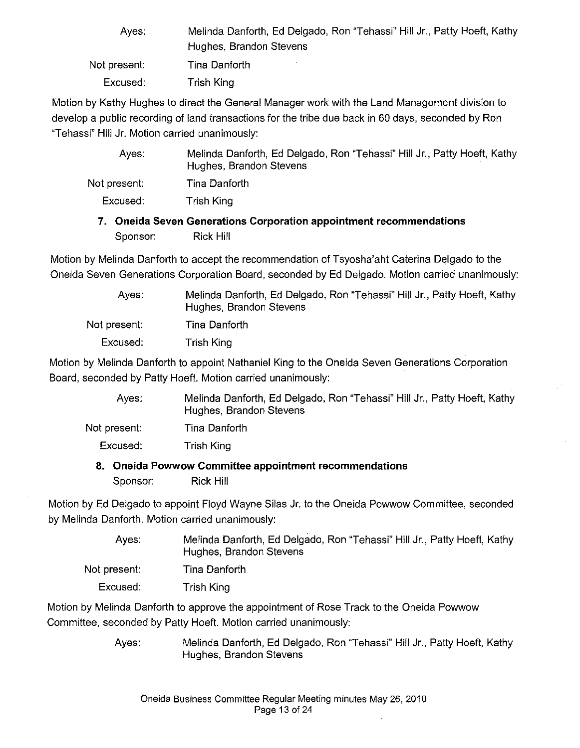| Aves:        | Melinda Danforth, Ed Delgado, Ron "Tehassi" Hill Jr., Patty Hoeft, Kathy |
|--------------|--------------------------------------------------------------------------|
|              | Hughes, Brandon Stevens                                                  |
| Not present: | Tina Danforth                                                            |
| Excused:     | Trish King                                                               |

Motion by Kathy Hughes to direct the General Manager work with the Land Management division to develop a public recording of land transactions for the tribe due back in 60 days, seconded by Ron "Tehassi" Hill Jr. Motion carried unanimously:

| Aves:        | Melinda Danforth, Ed Delgado, Ron "Tehassi" Hill Jr., Patty Hoeft, Kathy<br>Hughes, Brandon Stevens |
|--------------|-----------------------------------------------------------------------------------------------------|
| Not present: | Tina Danforth                                                                                       |
| Excused:     | Trish King                                                                                          |

### **7. Oneida Seven Generations Corporation appointment recommendations**  Sponsor: Rick Hill

Motion by Melinda Danforth to accept the recommendation of Tsyosha'aht Caterina Delgado to the Oneida Seven Generations Corporation Board, seconded by Ed Delgado. Motion carried unanimously:

> Ayes: Melinda Danforth, Ed Delgado, Ron "Tehassi" Hill Jr., Patty Hoeft, Kathy Hughes, Brandon Stevens

Not present: Tina Danforth

Excused: Trish King

Motion by Melinda Danforth to appoint Nathaniel King to the Oneida Seven Generations Corporation Board, seconded by Patty Hoeft. Motion carried unanimously:

> Ayes: Melinda Danforth, Ed Delgado, Ron "Tehassi" Hill Jr., Patty Hoeft, Kathy Hughes, Brandon Stevens

Not present: Tina Danforth

Excused: Trish King

### **8. Oneida Powwow Committee appointment recommendations**

Sponsor: Rick Hill

Motion by Ed Delgado to appoint Floyd Wayne Silas Jr. to the Oneida Powwow Committee, seconded by Melinda Danforth. Motion carried unanimously:

> Ayes: Melinda Danforth, Ed Delgado, Ron "Tehassi" Hill Jr., Patty Hoeft, Kathy Hughes, Brandon Stevens

Not present: Tina Danforth

Excused: Trish King

Motion by Melinda Danforth to approve the appointment of Rose Track to the Oneida Powwow Committee, seconded by Patty Hoeft. Motion carried unanimously:

> Ayes: Melinda Danforth, Ed Delgado, Ron "Tehassi" Hill Jr., Patty Hoeft, Kathy Hughes, Brandon Stevens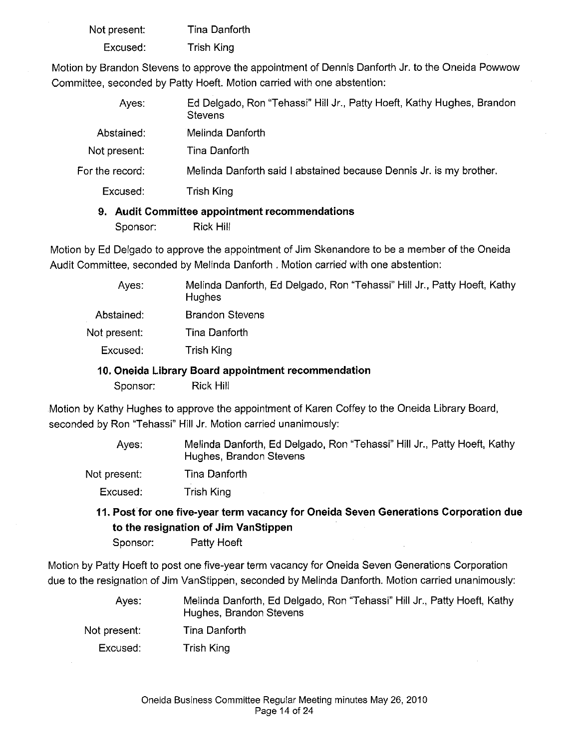| Not present: | Tina Danforth     |
|--------------|-------------------|
| Excused:     | <b>Trish King</b> |

Motion by Brandon Stevens to approve the appointment of Dennis Danforth Jr. to the Oneida Powwow Committee, seconded by Patty Hoeft. Motion carried with one abstention:

| Ayes:           | Ed Delgado, Ron "Tehassi" Hill Jr., Patty Hoeft, Kathy Hughes, Brandon<br><b>Stevens</b> |
|-----------------|------------------------------------------------------------------------------------------|
| Abstained:      | Melinda Danforth                                                                         |
| Not present:    | Tina Danforth                                                                            |
| For the record: | Melinda Danforth said I abstained because Dennis Jr. is my brother.                      |
| Excused:        | Trish King                                                                               |

### **9. Audit Committee appointment recommendations**

Sponsor: Rick Hill

Motion by Ed Delgado to approve the appointment of Jim Skenandore to be a member of the Oneida Audit Committee, seconded by Melinda Danforth . Motion carried with one abstention:

| Aves:                                               | Melinda Danforth, Ed Delgado, Ron "Tehassi" Hill Jr., Patty Hoeft, Kathy<br><b>Hughes</b> |
|-----------------------------------------------------|-------------------------------------------------------------------------------------------|
| Abstained:                                          | <b>Brandon Stevens</b>                                                                    |
| Not present:                                        | Tina Danforth                                                                             |
| Excused:                                            | Trish King                                                                                |
| 10. Oneida Library Board appointment recommendation |                                                                                           |

Sponsor: Rick Hill

Motion by Kathy Hughes to approve the appointment of Karen Coffey to the Oneida Library Board, seconded by Ron "Tehassi" Hill Jr. Motion carried unanimously:

> Ayes: Melinda Danforth, Ed Delgado, Ron "Tehassi" Hill Jr., Patty Hoeft, Kathy Hughes, Brandon Stevens

Not present: Excused: Tina Danforth Trish King

**11. Post for one five-year term vacancy for Oneida Seven Generations Corporation due to the resignation of Jim VanStippen** 

Sponsor: Patty Hoeft

Motion by Patty Hoeft to post one five-year term vacancy for Oneida Seven Generations Corporation due to the resignation of Jim VanStippen, seconded by Melinda Danforth. Motion carried unanimously:

- Ayes: Melinda Danforth, Ed Delgado, Ron "Tehassi" Hill Jr., Patty Hoeft, Kathy Hughes, Brandon Stevens
- Not present: Tina Danforth
	- Excused: Trish King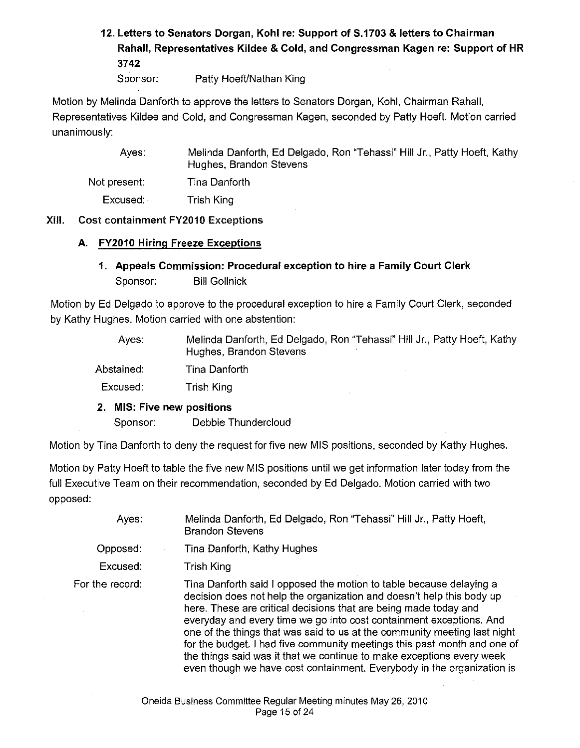# **12. Letters to Senators Dorgan, Kohl** re: **Support of S.1703 & letters to Chairman Rahal!, Representatives Kildee & Cold, and Congressman Kagen re: Support of HR 3742**

Sponsor: Patty Hoeft/Nathan King

Motion by Melinda Danforth to approve the letters to Senators Dorgan, Kohl, Chairman Rahall, Representatives Kildee and Cold, and Congressman Kagen, seconded by Patty Hoeft. Motion carried unanimously:

Ayes: Not present: Excused: Melinda Danforth, Ed Delgado, Ron "Tehassi" Hill Jr., Patty Hoeft, Kathy Hughes, Brandon Stevens Tina Danforth Trish King

### XIII. Cost containment FY2010 Exceptions

### **A. FY2010 Hiring Freeze Exceptions**

**1. Appeals Commission: Procedural exception to hire a Family Court Clerk**  Sponsor: Bill Gollnick

Motion by Ed Delgado to approve to the procedural exception to hire a Family Court Clerk, seconded by Kathy Hughes. Motion carried with one abstention:

> Ayes: Melinda Danforth, Ed Delgado, Ron "Tehassi" Hill Jr., Patty Hoeft, Kathy Hughes, Brandon Stevens

Abstained: Tina Danforth

Excused: Trish King

### **2. MIS: Five new positions**

Sponsor: Debbie Thundercloud

Motion by Tina Danforth to deny the request for five new MIS positions, seconded by Kathy Hughes.

Motion by Patty Hoeft to table the five new MIS positions until we get information later today from the full Executive Team on their recommendation, seconded by Ed Delgado. Motion carried with two opposed:

| Ayes:           | Melinda Danforth, Ed Delgado, Ron "Tehassi" Hill Jr., Patty Hoeft,<br><b>Brandon Stevens</b>                                                                                                                                                                                                                                                                                                                                                                                                                                                                                                        |
|-----------------|-----------------------------------------------------------------------------------------------------------------------------------------------------------------------------------------------------------------------------------------------------------------------------------------------------------------------------------------------------------------------------------------------------------------------------------------------------------------------------------------------------------------------------------------------------------------------------------------------------|
| Opposed:        | Tina Danforth, Kathy Hughes                                                                                                                                                                                                                                                                                                                                                                                                                                                                                                                                                                         |
| Excused:        | Trish King                                                                                                                                                                                                                                                                                                                                                                                                                                                                                                                                                                                          |
| For the record: | Tina Danforth said I opposed the motion to table because delaying a<br>decision does not help the organization and doesn't help this body up<br>here. These are critical decisions that are being made today and<br>everyday and every time we go into cost containment exceptions. And<br>one of the things that was said to us at the community meeting last night<br>for the budget. I had five community meetings this past month and one of<br>the things said was it that we continue to make exceptions every week<br>even though we have cost containment. Everybody in the organization is |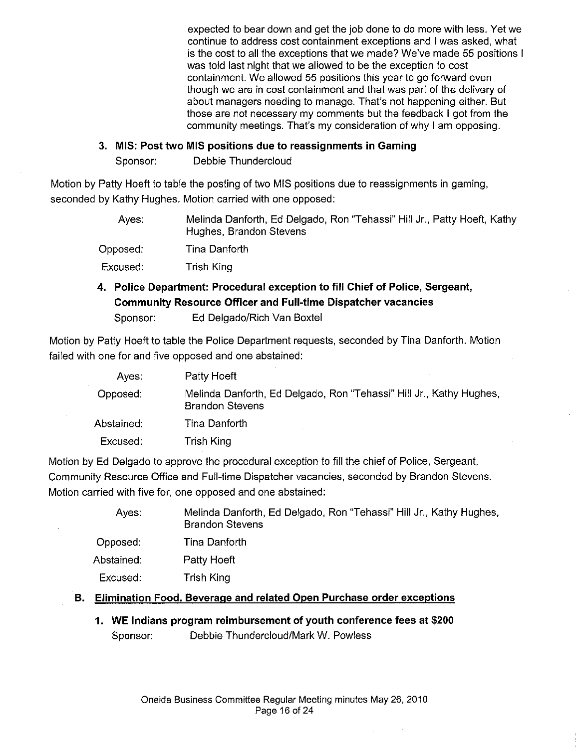expected to bear down and get the job done to do more with less. Yet we continue to address cost containment exceptions and I was asked, what is the cost to all the exceptions that we made? We've made 55 positions I was told last night that we allowed to be the exception to cost containment. We allowed 55 positions this year to go forward even though we are in cost containment and that was part of the delivery of about managers needing to manage. That's not happening either. But those are not necessary my comments but the feedback I got from the community meetings. That's my consideration of why I am opposing.

### **3. MIS: Post two MIS positions due to reassignments in Gaming**

Sponsor: Debbie Thundercloud

Motion by Patty Hoeft to table the posting of two MIS positions due to reassignments in gaming, seconded by Kathy Hughes. Motion carried with one opposed:

| Aves:    | Melinda Danforth, Ed Delgado, Ron "Tehassi" Hill Jr., Patty Hoeft, Kathy<br>Hughes, Brandon Stevens |
|----------|-----------------------------------------------------------------------------------------------------|
| Opposed: | Tina Danforth                                                                                       |
| Excused: | Trish King                                                                                          |

## **4. Police Department: Procedural exception to fill Chief of Police, Sergeant, Community Resource Officer and Full-time Dispatcher vacancies**

Sponsor: Ed Delgado/Rich Van Boxtel

Motion by Patty Hoeft to table the Police Department requests, seconded by Tina Danforth. Motion failed with one for and five opposed and one abstained:

| Ayes:      | Patty Hoeft                                                                                   |
|------------|-----------------------------------------------------------------------------------------------|
| Opposed:   | Melinda Danforth, Ed Delgado, Ron "Tehassi" Hill Jr., Kathy Hughes,<br><b>Brandon Stevens</b> |
| Abstained: | Tina Danforth                                                                                 |
| Excused:   | Trish King                                                                                    |

Motion by Ed Delgado to approve the procedural exception to fill the chief of Police, Sergeant, Community Resource Office and Full-time Dispatcher vacancies, seconded by Brandon Stevens. Motion carried with five for, one opposed and one abstained:

| Ayes:      | Melinda Danforth, Ed Delgado, Ron "Tehassi" Hill Jr., Kathy Hughes,<br><b>Brandon Stevens</b> |
|------------|-----------------------------------------------------------------------------------------------|
| Opposed:   | Tina Danforth                                                                                 |
| Abstained: | Patty Hoeft                                                                                   |
| Excused:   | Trish King                                                                                    |
|            |                                                                                               |

### **B. Elimination Food. Beverage and related Open Purchase order exceptions**

**1. WE Indians program reimbursement of youth conference fees at \$200**  Sponsor: Debbie Thundercloud/Mark W. Powless

 $\bar{z}$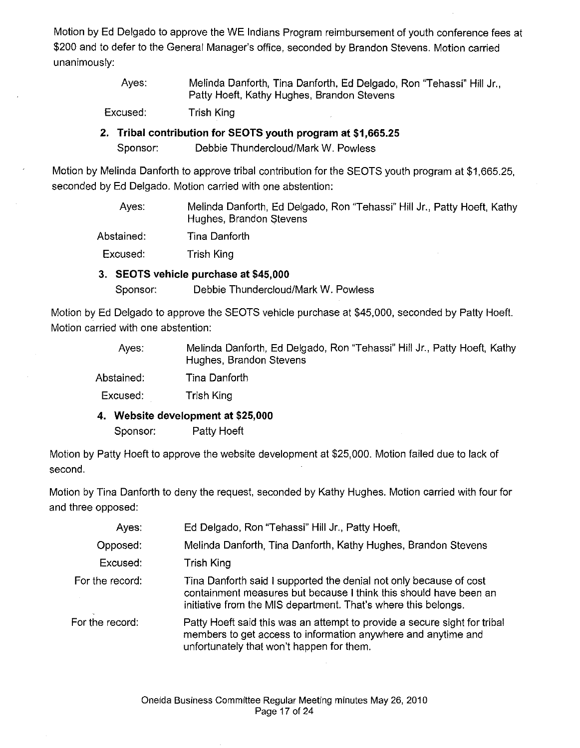Motion by Ed Delgado to approve the WE Indians Program reimbursement of youth conference fees at \$200 and to defer to the General Manager's office, seconded by Brandon Stevens. Motion carried unanimously:

> Ayes: Melinda Danforth, Tina Danforth, Ed Delgado, Ron "Tehassi" Hill Jr., Patty Hoeft, Kathy Hughes, Brandon Stevens

Excused: Trish King

### **2. Tribal contribution for SEOTS youth program at \$1,665.25**  Sponsor: Debbie Thundercloud/Mark W. Powless

Motion by Melinda Danforth to approve tribal contribution for the SEOTS youth program at \$1,665.25, seconded by Ed Delgado. Motion carried with one abstention:

> Ayes: Melinda Danforth, Ed Delgado, Ron "Tehassi" Hill Jr., Patty Hoeft, Kathy Hughes, Brandon Stevens

Abstained: Tina Danforth

Excused: Trish King

### **3. SEOTS vehicle purchase at \$45,000**

Sponsor: Debbie Thundercloud/Mark W. Powless

Motion by Ed Delgado to approve the SEOTS vehicle purchase at \$45,000, seconded by Patty Hoeft. Motion carried with one abstention:

> Ayes: Melinda Danforth, Ed Delgado, Ron "Tehassi" Hill Jr., Patty Hoeft, Kathy Hughes, Brandon Stevens

Abstained: Tina Danforth

Excused: Trish King

**4. Website development at \$25,000** 

Sponsor: Patty Hoeft

Motion by Patty Hoeft to approve the website development at \$25,000. Motion failed due to lack of second.

Motion by Tina Danforth to deny the request, seconded by Kathy Hughes. Motion carried with four for and three opposed:

| Ayes:           | Ed Delgado, Ron "Tehassi" Hill Jr., Patty Hoeft,                                                                                                                                                          |
|-----------------|-----------------------------------------------------------------------------------------------------------------------------------------------------------------------------------------------------------|
| Opposed:        | Melinda Danforth, Tina Danforth, Kathy Hughes, Brandon Stevens                                                                                                                                            |
| Excused:        | Trish King                                                                                                                                                                                                |
| For the record: | Tina Danforth said I supported the denial not only because of cost<br>containment measures but because I think this should have been an<br>initiative from the MIS department. That's where this belongs. |
| For the record: | Patty Hoeft said this was an attempt to provide a secure sight for tribal<br>members to get access to information anywhere and anytime and<br>unfortunately that won't happen for them.                   |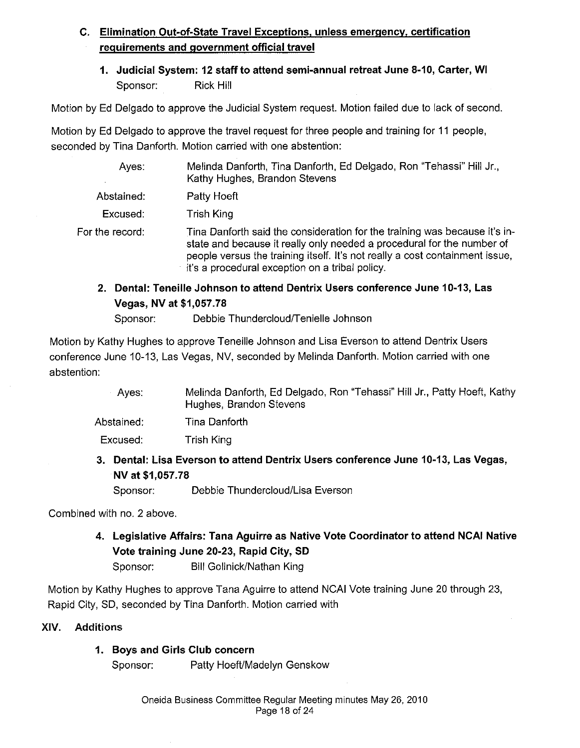### **C. Elimination Out-of-State Travel Exceptions, unless emergency, certification requirements and government official travel**

**1. Judicial System: 12 staff to attend semi-annual retreat June 8-10, Carter, WI**  Sponsor: Rick Hill

Motion by Ed Delgado to approve the Judicial System request. Motion failed due to lack of second.

Motion by Ed Delgado to approve the travel request for three people and training for 11 people, seconded by Tina Danforth. Motion carried with one abstention:

| Ayes:           | Melinda Danforth, Tina Danforth, Ed Delgado, Ron "Tehassi" Hill Jr.,<br>Kathy Hughes, Brandon Stevens                                                                                                                                                                                   |
|-----------------|-----------------------------------------------------------------------------------------------------------------------------------------------------------------------------------------------------------------------------------------------------------------------------------------|
| Abstained:      | Patty Hoeft                                                                                                                                                                                                                                                                             |
| Excused:        | Trish King                                                                                                                                                                                                                                                                              |
| For the record: | Tina Danforth said the consideration for the training was because it's in-<br>state and because it really only needed a procedural for the number of<br>people versus the training itself. It's not really a cost containment issue,<br>it's a procedural exception on a tribal policy. |

### **2. Dental: Teneille Johnson to attend Dentrix Users conference June 10-13, Las Vegas, NV at \$1,057.78**

Sponsor: Debbie Thundercloud/Tenielle Johnson

Motion by Kathy Hughes to approve Teneille Johnson and Lisa Everson to attend Dentrix Users conference June 10-13, Las Vegas, NV, seconded by Melinda Danforth. Motion carried with one abstention:

> Ayes: Melinda Danforth, Ed Delgado, Ron "Tehassi" Hill Jr., Patty Hoeft, Kathy Hughes, Brandon Stevens

Abstained: Tina Danforth

Excused: Trish King

### **3. Dental: Lisa Everson to attend Dentrix Users conference June 10-13, Las Vegas, NV at \$1,057.78**

Sponsor: Debbie Thundercloud/Lisa Everson

Combined with no. 2 above.

## **4. Legislative Affairs: Tana Aguirre as Native Vote Coordinator to attend NCAI Native Vote training June 20-23, Rapid City, SD**

Sponsor: Bill Gollnick/Nathan King

Motion by Kathy Hughes to approve Tana Aguirre to attend NCAI Vote training June 20 through 23, Rapid City, SD, seconded by Tina Danforth. Motion carried with

### XIV. Additions

### **1. Boys and Girls Club concern**

Sponsor: Patty Hoeft/Madelyn Genskow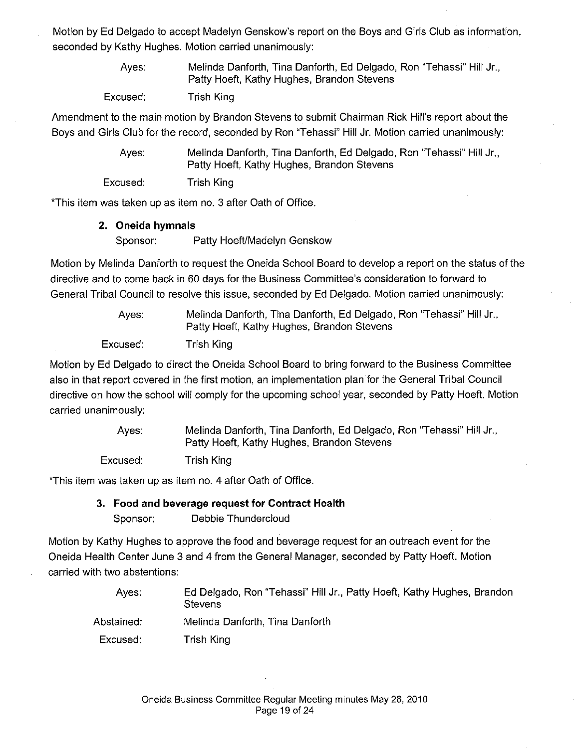Motion by Ed Delgado to accept Madelyn Genskow's report on the Boys and Girls Club as information, seconded by Kathy Hughes. Motion carried unanimously:

> Ayes: Melinda Danforth, Tina Danforth, Ed Delgado, Ron "Tehassi" Hill Jr., Patty Hoeft, Kathy Hughes, Brandon Stevens

Excused: Trish King

Amendment to the main motion by Brandon Stevens to submit Chairman Rick Hill's report about the Boys and Girls Club for the record, seconded by Ron "Tehassi" Hill Jr. Motion carried unanimously:

> Ayes: Melinda Danforth, Tina Danforth, Ed Delgado, Ron "Tehassi" Hill Jr., Patty Hoeft, Kathy Hughes, Brandon Stevens

Excused: Trish King

\*This item was taken up as item no. 3 after Oath of Office.

### **2. Oneida hymnals**

Sponsor: Patty Hoeft/Madelyn Genskow

Motion by Melinda Danforth to request the Oneida School Board to develop a report on the status of the directive and to come back in 60 days for the Business Committee's consideration to forward to General Tribal Council to resolve this issue, seconded by Ed Delgado. Motion carried unanimously:

> Ayes: Melinda Danforth, Tina Danforth, Ed Delgado, Ron "Tehassi" Hill Jr., Patty Hoeft, Kathy Hughes, Brandon Stevens

Excused: Trish King

Motion by Ed Delgado to direct the Oneida School Board to bring forward to the Business Committee also in that report covered in the first motion, an implementation plan for the General Tribal Council directive on how the school will comply for the upcoming school year, seconded by Patty Hoeft. Motion carried unanimously:

> Ayes: Excused: Melinda Danforth, Tina Danforth, Ed Delgado, Ron "Tehassi" Hill Jr., Patty Hoeft, Kathy Hughes, Brandon Stevens Trish King

\*This item was taken up as item no. 4 after Oath of Office.

### **3. Food and beverage request for Contract Health**

Sponsor: Debbie Thundercloud

Motion by Kathy Hughes to approve the food and beverage request for an outreach event for the Oneida Health Center June 3 and 4 from the General Manager, seconded by Patty Hoeft. Motion carried with two abstentions:

- Ayes: Ed Delgado, Ron "Tehassi" Hill Jr., Patty Hoeft, Kathy Hughes, Brandon **Stevens**
- Abstained: Melinda Danforth, Tina Danforth
- Excused: Trish King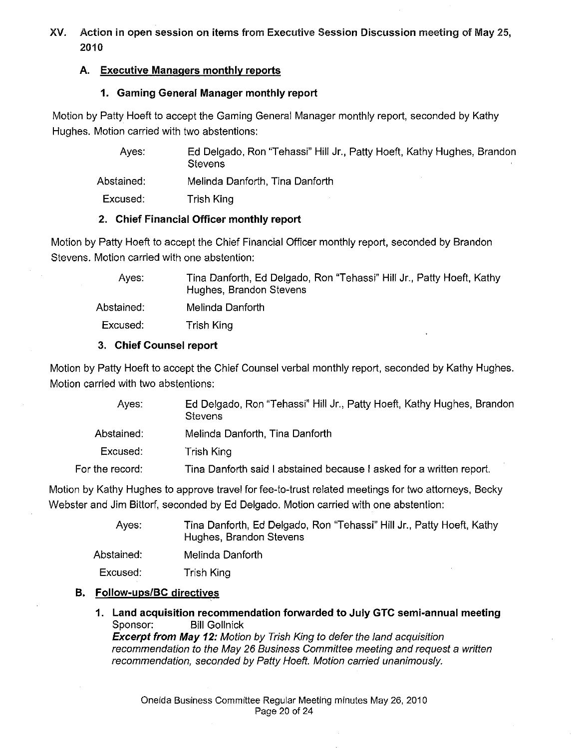### XV. Action in open session on items from Executive Session Discussion meeting of May 25, 2010

### A. Executive Managers monthly reports

### 1. Gaming General Manager monthly report

Motion by Patty Hoeft to accept the Gaming General Manager monthly report, seconded by Kathy Hughes. Motion carried with two abstentions:

> Ayes: Abstained: Excused: Ed Delgado, Ron "Tehassi" Hill Jr., Patty Hoeft, Kathy Hughes, Brandon **Stevens** Melinda Danforth, Tina Danforth Trish King

### 2. Chief Financial Officer monthly report

Motion by Patty Hoeft to accept the Chief Financial Officer monthly report, seconded by Brandon Stevens. Motion carried with one abstention:

> Ayes: Abstained: Tina Danforth, Ed Delgado, Ron "Tehassi" Hill Jr., Patty Hoeft, Kathy Hughes, Brandon Stevens Melinda Danforth

Excused: Trish King

### 3. Chief Counsel report

Motion by Patty Hoeft to accept the Chief Counsel verbal monthly report, seconded by Kathy Hughes. Motion carried with two abstentions:

| Aves:           | Ed Delgado, Ron "Tehassi" Hill Jr., Patty Hoeft, Kathy Hughes, Brandon<br><b>Stevens</b> |
|-----------------|------------------------------------------------------------------------------------------|
| Abstained:      | Melinda Danforth, Tina Danforth                                                          |
| Excused:        | Trish King                                                                               |
| For the record: | Tina Danforth said I abstained because I asked for a written report.                     |

Motion by Kathy Hughes to approve travel for fee-to-trust related meetings for two attorneys, Becky Webster and Jim Bittorf, seconded by Ed Delgado. Motion carried with one abstention:

| Aves:      | Tina Danforth, Ed Delgado, Ron "Tehassi" Hill Jr., Patty Hoeft, Kathy<br>Hughes, Brandon Stevens |
|------------|--------------------------------------------------------------------------------------------------|
| Abstained: | Melinda Danforth                                                                                 |
| Excused:   | Trish King                                                                                       |

### B. Follow-ups/BC directives

1. Land acquisition recommendation forwarded to July GTC semi-annual meeting Sponsor: Bill Gollnick **Excerpt from May 12:** Motion by Trish King to defer the land acquisition recommendation to the May 26 Business Committee meeting and request a written recommendation, seconded by Patty Hoeft. Motion carried unanimously.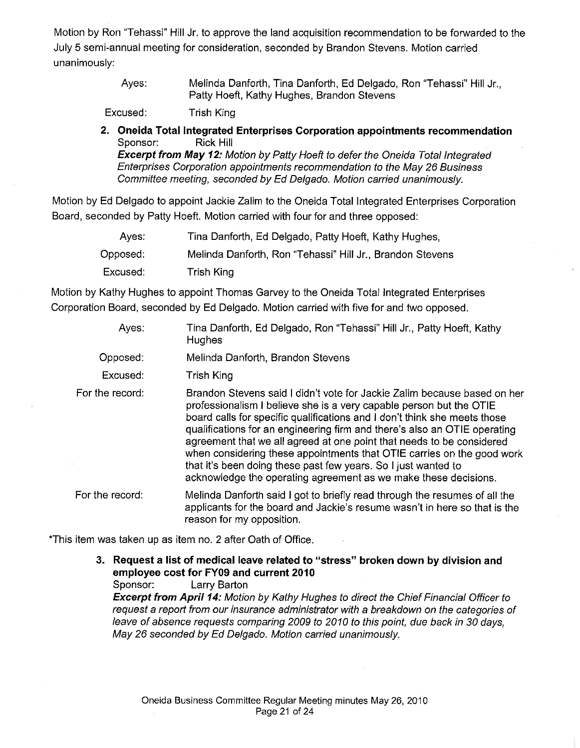Motion by Ron "Tehassi" Hill Jr. to approve the land acquisition recommendation to be forwarded to the July 5 semi-annual meeting for consideration, seconded by Brandon Stevens. Motion carried unanimously:

> Ayes: Melinda Danforth, Tina Danforth, Ed Delgado, Ron "Tehassi" Hill Jr., Patty Hoeft, Kathy Hughes, Brandon Stevens

Excused: Trish King

**2. Oneida Total Integrated Enterprises Corporation appointments recommendation**  Sponsor: Rick Hill

**Excerpt from May 12:** Motion by Patty Hoeft to defer the Oneida Total Integrated Enterprises Corporation appointments recommendation to the May 26 Business Committee meeting, seconded by Ed Delgado. Motion carried unanimously.

Motion by Ed Delgado to appoint Jackie Zalim to the Oneida Total Integrated Enterprises Corporation Board, seconded by Patty Hoeft. Motion carried with four for and three opposed:

| Ayes:    | Tina Danforth, Ed Delgado, Patty Hoeft, Kathy Hughes,     |
|----------|-----------------------------------------------------------|
| Opposed: | Melinda Danforth, Ron "Tehassi" Hill Jr., Brandon Stevens |
| Excused: | Trish King                                                |

Motion by Kathy Hughes to appoint Thomas Garvey to the Oneida Total Integrated Enterprises Corporation Board, seconded by Ed Delgado. Motion carried with five for and two opposed.

- Ayes: Tina Danforth, Ed Delgado, Ron "Tehassi" Hill Jr., Patty Hoeft, Kathy Hughes
- Opposed: Melinda Danforth, Brandon Stevens
- Excused: Trish King
- For the record: Brandon Stevens said I didn't vote for Jackie Zalim because based on her professionalism I believe she is a very capable person but the OTIE board calls for specific qualifications and I don't think she meets those qualifications for an engineering firm and there's also an OTIE operating agreement that we all agreed at one point that needs to be considered when considering these appointments that OTIE carries on the good work that it's been doing these past few years. So I just wanted to acknowledge the operating agreement as we make these decisions.
- For the record: Melinda Danforth said I got to briefly read through the resumes of all the applicants for the board and Jackie's resume wasn't in here so that is the reason for my opposition.

\*This item was taken up as item no. 2 after Oath of Office.

**3. Request a list of medical leave related to "stress" broken down by division and employee cost for FY09 and current 2010** 

Sponsor: Larry Barton

**Excerpt from April 14:** Motion by Kathy Hughes to direct the Chief Financial Officer to request a report from our insurance administrator with a breakdown on the categories of leave of absence requests comparing 2009 to 2010 to this point, due back in 30 days, May 26 seconded by Ed Delgado. Motion carried unanimously.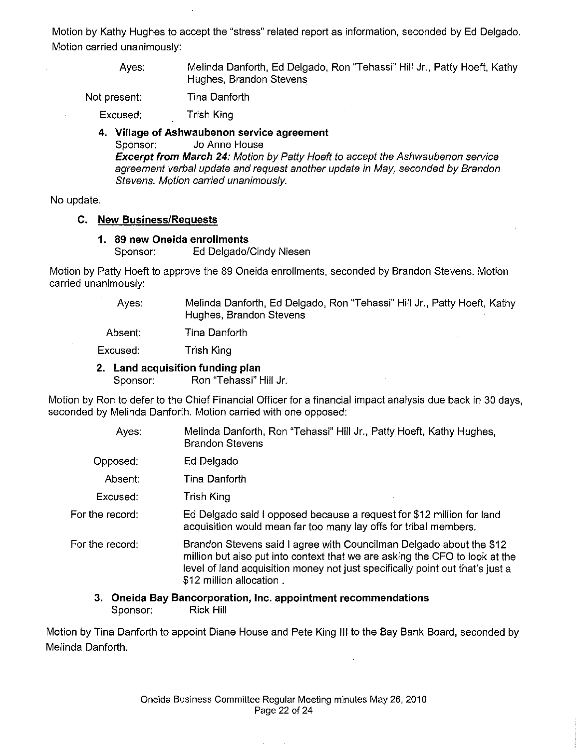Motion by Kathy Hughes to accept the "stress" related report as information, seconded by Ed Delgado. Motion carried unanimously:

> Ayes: Melinda Danforth, Ed Delgado, Ron "Tehassi" Hill Jr., Patty Hoeft, Kathy Hughes, Brandon Stevens

Not present: Tina Danforth

Excused: Trish King

### **4. Village of Ashwaubenon service agreement**  Sponsor: Jo Anne House **Excerpt from March 24:** Motion by Patty Hoeft to accept the Ashwaubenon service

agreement verbal update and request another update in May, seconded by Brandon Stevens. Motion carried unanimously.

No update.

### **C. New Business/Requests**

### **1. 89 new Oneida enrollments**

Sponsor: Ed Delgado/Cindy Niesen

Motion by Patty Hoeft to approve the 89 Oneida enrollments, seconded by Brandon Stevens. Motion carried unanimously:

> Ayes: Melinda Danforth, Ed Delgado, Ron "Tehassi" Hill Jr., Patty Hoeft, Kathy Hughes, Brandon Stevens

Absent: Tina Danforth

Excused: Trish King

### **2. Land acquisition funding plan**

Sponsor: Ron "Tehassi" Hill Jr.

Motion by Ron to defer to the Chief Financial Officer for a financial impact analysis due back in 30 days, seconded by Melinda Danforth. Motion carried with one opposed:

| Ayes:           | Melinda Danforth, Ron "Tehassi" Hill Jr., Patty Hoeft, Kathy Hughes,<br><b>Brandon Stevens</b>                                                                                                                                                                  |
|-----------------|-----------------------------------------------------------------------------------------------------------------------------------------------------------------------------------------------------------------------------------------------------------------|
| Opposed:        | Ed Delgado                                                                                                                                                                                                                                                      |
| Absent:         | Tina Danforth                                                                                                                                                                                                                                                   |
| Excused:        | Trish King                                                                                                                                                                                                                                                      |
| For the record: | Ed Delgado said I opposed because a request for \$12 million for land<br>acquisition would mean far too many lay offs for tribal members.                                                                                                                       |
| For the record: | Brandon Stevens said I agree with Councilman Delgado about the \$12<br>million but also put into context that we are asking the CFO to look at the<br>level of land acquisition money not just specifically point out that's just a<br>\$12 million allocation. |
|                 |                                                                                                                                                                                                                                                                 |

### **3. Oneida Bay Bancorporation, Inc. appointment recommendations**  Sponsor: Rick Hill

Motion by Tina Danforth to appoint Diane House and Pete King Ill to the Bay Bank Board, seconded by Melinda Danforth.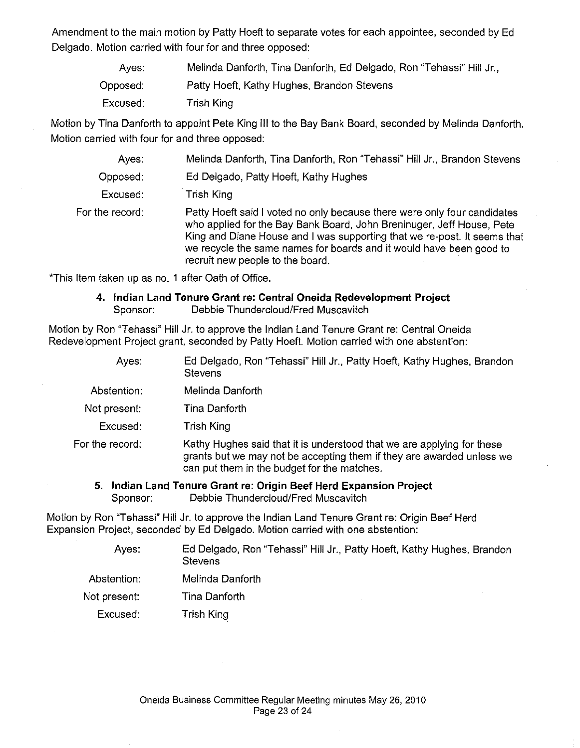Amendment to the main motion by Patty Hoeft to separate votes for each appointee, seconded by Ed Delgado. Motion carried with four for and three opposed:

| Aves:    | Melinda Danforth, Tina Danforth, Ed Delgado, Ron "Tehassi" Hill Jr., |
|----------|----------------------------------------------------------------------|
| Opposed: | Patty Hoeft, Kathy Hughes, Brandon Stevens                           |
| Excused: | Trish King                                                           |

Motion by Tina Danforth to appoint Pete King Ill to the Bay Bank Board, seconded by Melinda Danforth. Motion carried with four for and three opposed:

| Ayes:           | Melinda Danforth, Tina Danforth, Ron "Tehassi" Hill Jr., Brandon Stevens                                                                                                                                                                                                                                                                 |
|-----------------|------------------------------------------------------------------------------------------------------------------------------------------------------------------------------------------------------------------------------------------------------------------------------------------------------------------------------------------|
| Opposed:        | Ed Delgado, Patty Hoeft, Kathy Hughes                                                                                                                                                                                                                                                                                                    |
| Excused:        | Trish King                                                                                                                                                                                                                                                                                                                               |
| For the record: | Patty Hoeft said I voted no only because there were only four candidates<br>who applied for the Bay Bank Board, John Breninuger, Jeff House, Pete<br>King and Diane House and I was supporting that we re-post. It seems that<br>we recycle the same names for boards and it would have been good to<br>recruit new people to the board. |

\*This Item taken up as no. 1 after Oath of Office.

### **4. Indian Land Tenure Grant** re: **Central Oneida Redevelopment Project**  Sponsor: Debbie Thundercloud/Fred Muscavitch

Motion by Ron "Tehassi" Hill Jr. to approve the Indian Land Tenure Grant re: Central Oneida Redevelopment Project grant, seconded by Patty Hoeft. Motion carried with one abstention:

| Ayes: | Ed Delgado, Ron "Tehassi" Hill Jr., Patty Hoeft, Kathy Hughes, Brandon |
|-------|------------------------------------------------------------------------|
|       | Stevens                                                                |

Abstention: Melinda Danforth

Not present: Tina Danforth

Excused: Trish King

For the record: Kathy Hughes said that it is understood that we are applying for these grants but we may not be accepting them if they are awarded unless we can put them in the budget for the matches.

**5. Indian Land Tenure Grant re: Origin Beef Herd Expansion Project**  Sponsor: Debbie Thundercloud/Fred Muscavitch

Motion by Ron ''Tehassi" Hill Jr. to approve the Indian Land Tenure Grant re: Origin Beef Herd Expansion Project, seconded by Ed Delgado. Motion carried with one abstention:

| Ayes: | Ed Delgado, Ron "Tehassi" Hill Jr., Patty Hoeft, Kathy Hughes, Brandon |
|-------|------------------------------------------------------------------------|
|       | Stevens                                                                |

- Abstention: Melinda Danforth
- Tina Danforth Not present:
	- Trish King Excused: